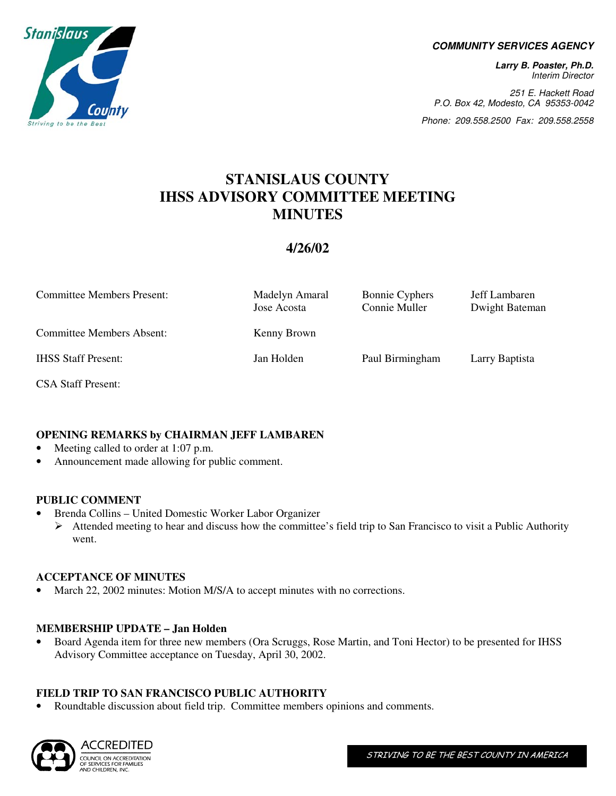

### **COMMUNITY SERVICES AGENCY**

**Larry B. Poaster, Ph.D.**  Interim Director

251 E. Hackett Road P.O. Box 42, Modesto, CA 95353-0042

Phone: 209.558.2500 Fax: 209.558.2558

### **STANISLAUS COUNTY IHSS ADVISORY COMMITTEE MEETING MINUTES**

### **4/26/02**

| <b>Committee Members Present:</b> | Madelyn Amaral<br>Jose Acosta | <b>Bonnie Cyphers</b><br>Connie Muller | Jeff Lambaren<br>Dwight Bateman |
|-----------------------------------|-------------------------------|----------------------------------------|---------------------------------|
| <b>Committee Members Absent:</b>  | Kenny Brown                   |                                        |                                 |
| <b>IHSS Staff Present:</b>        | Jan Holden                    | Paul Birmingham                        | Larry Baptista                  |

CSA Staff Present:

### **OPENING REMARKS by CHAIRMAN JEFF LAMBAREN**

- Meeting called to order at 1:07 p.m.
- Announcement made allowing for public comment.

### **PUBLIC COMMENT**

• Brenda Collins – United Domestic Worker Labor Organizer  $\triangleright$  Attended meeting to hear and discuss how the committee's field trip to San Francisco to visit a Public Authority went.

### **ACCEPTANCE OF MINUTES**

March 22, 2002 minutes: Motion M/S/A to accept minutes with no corrections.

### **MEMBERSHIP UPDATE – Jan Holden**

• Board Agenda item for three new members (Ora Scruggs, Rose Martin, and Toni Hector) to be presented for IHSS Advisory Committee acceptance on Tuesday, April 30, 2002.

### **FIELD TRIP TO SAN FRANCISCO PUBLIC AUTHORITY**

• Roundtable discussion about field trip. Committee members opinions and comments.

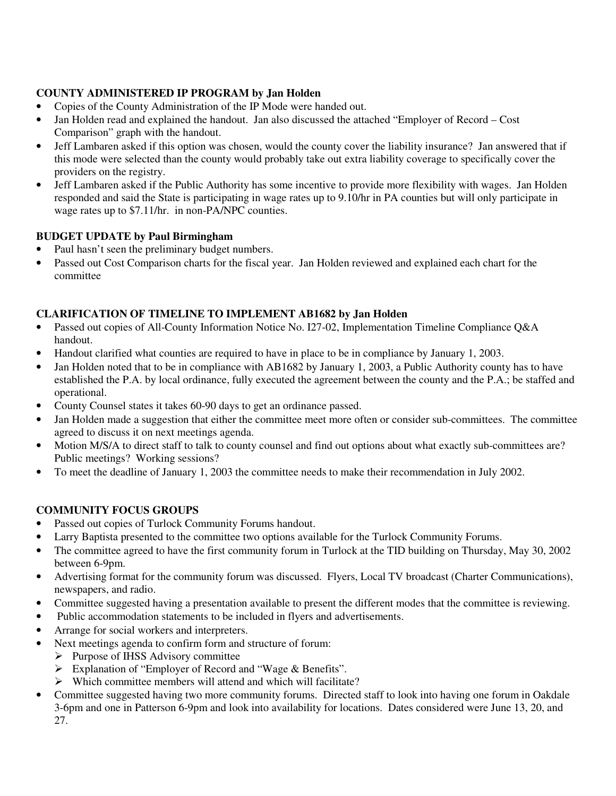### **COUNTY ADMINISTERED IP PROGRAM by Jan Holden**

- Copies of the County Administration of the IP Mode were handed out.
- Jan Holden read and explained the handout. Jan also discussed the attached "Employer of Record Cost" Comparison" graph with the handout.
- Jeff Lambaren asked if this option was chosen, would the county cover the liability insurance? Jan answered that if this mode were selected than the county would probably take out extra liability coverage to specifically cover the providers on the registry.
- Jeff Lambaren asked if the Public Authority has some incentive to provide more flexibility with wages. Jan Holden responded and said the State is participating in wage rates up to 9.10/hr in PA counties but will only participate in wage rates up to \$7.11/hr. in non-PA/NPC counties.

### **BUDGET UPDATE by Paul Birmingham**

- Paul hasn't seen the preliminary budget numbers.
- Passed out Cost Comparison charts for the fiscal year. Jan Holden reviewed and explained each chart for the committee

### **CLARIFICATION OF TIMELINE TO IMPLEMENT AB1682 by Jan Holden**

- Passed out copies of All-County Information Notice No. I27-02, Implementation Timeline Compliance Q&A handout.
- Handout clarified what counties are required to have in place to be in compliance by January 1, 2003.
- Jan Holden noted that to be in compliance with AB1682 by January 1, 2003, a Public Authority county has to have established the P.A. by local ordinance, fully executed the agreement between the county and the P.A.; be staffed and operational.
- County Counsel states it takes 60-90 days to get an ordinance passed.
- Jan Holden made a suggestion that either the committee meet more often or consider sub-committees. The committee agreed to discuss it on next meetings agenda.
- Motion M/S/A to direct staff to talk to county counsel and find out options about what exactly sub-committees are? Public meetings? Working sessions?
- To meet the deadline of January 1, 2003 the committee needs to make their recommendation in July 2002.

### **COMMUNITY FOCUS GROUPS**

- Passed out copies of Turlock Community Forums handout.
- Larry Baptista presented to the committee two options available for the Turlock Community Forums.
- The committee agreed to have the first community forum in Turlock at the TID building on Thursday, May 30, 2002 between 6-9pm.
- Advertising format for the community forum was discussed. Flyers, Local TV broadcast (Charter Communications), newspapers, and radio.
- Committee suggested having a presentation available to present the different modes that the committee is reviewing.
- Public accommodation statements to be included in flyers and advertisements.
- Arrange for social workers and interpreters.
- Next meetings agenda to confirm form and structure of forum:
	- $\triangleright$  Purpose of IHSS Advisory committee
		- Explanation of "Employer of Record and "Wage & Benefits".
		- $\triangleright$  Which committee members will attend and which will facilitate?
- Committee suggested having two more community forums. Directed staff to look into having one forum in Oakdale 3-6pm and one in Patterson 6-9pm and look into availability for locations. Dates considered were June 13, 20, and 27.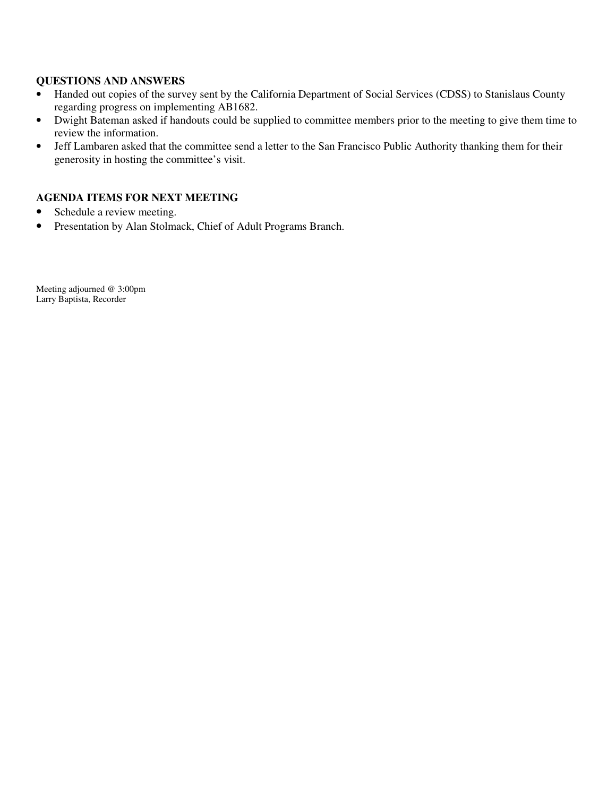### **QUESTIONS AND ANSWERS**

- Handed out copies of the survey sent by the California Department of Social Services (CDSS) to Stanislaus County regarding progress on implementing AB1682.
- Dwight Bateman asked if handouts could be supplied to committee members prior to the meeting to give them time to review the information.
- Jeff Lambaren asked that the committee send a letter to the San Francisco Public Authority thanking them for their generosity in hosting the committee's visit.

### **AGENDA ITEMS FOR NEXT MEETING**

- Schedule a review meeting.
- Presentation by Alan Stolmack, Chief of Adult Programs Branch.

Meeting adjourned @ 3:00pm Larry Baptista, Recorder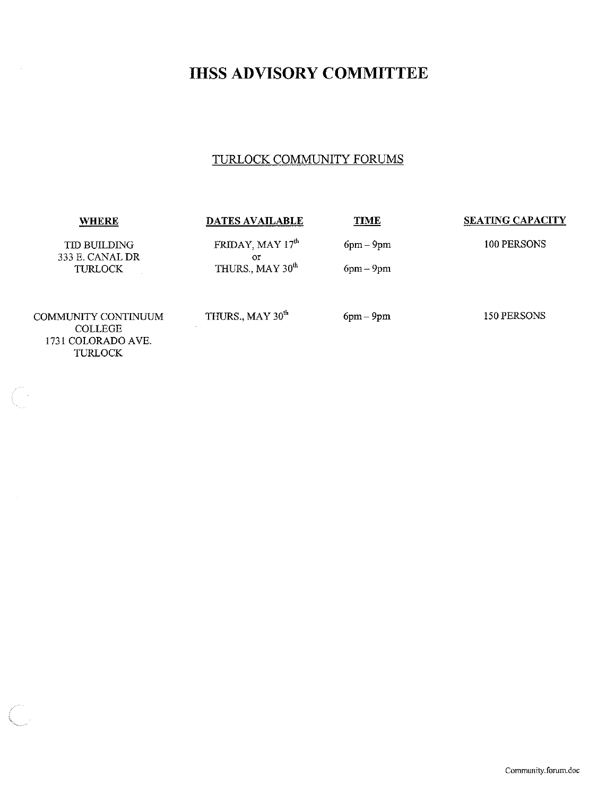### **IHSS ADVISORY COMMITTEE**

### TURLOCK COMMUNITY FORUMS

| <b>WHERE</b>                           | <b>DATES AVAILABLE</b>        | <b>TIME</b> | <b>SEATING CAPACITY</b> |
|----------------------------------------|-------------------------------|-------------|-------------------------|
| <b>TID BUILDING</b><br>333 E. CANAL DR | FRIDAY, MAY 17th<br><b>OT</b> | $6pm-9pm$   | 100 PERSONS             |
| <b>TURLOCK</b>                         | THURS., MAY 30 <sup>th</sup>  | $6pm-9pm$   |                         |
| COMMUNITY CONTINUUM<br><b>COLLEGE</b>  | THURS., MAY 30 <sup>th</sup>  | $6pm-9pm$   | 150 PERSONS             |
| 1731 COLORADO AVE.<br>TURLOCK          |                               |             |                         |

 $\left(\begin{array}{c} 0 \\ 0 \\ 0 \end{array}\right)$  .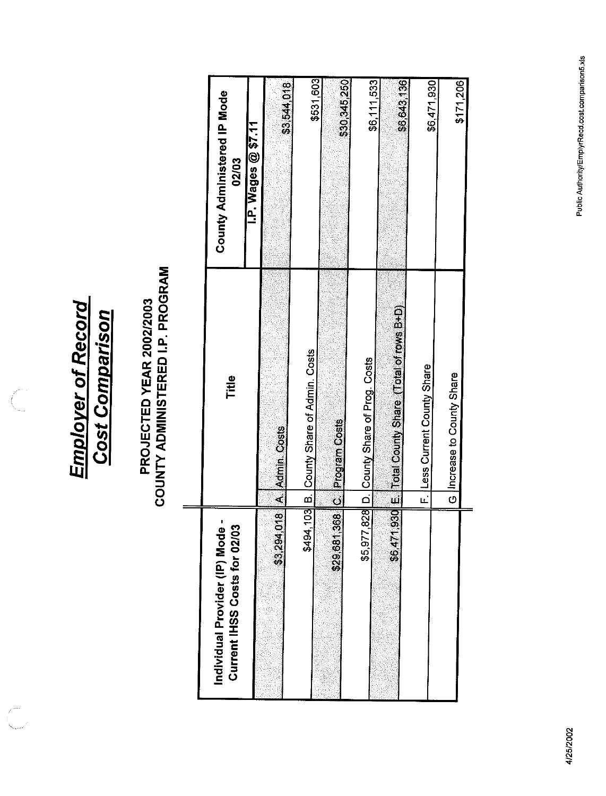**Employer of Record Cost Comparison** 

 $\overline{\mathbb{C}}$ 

 $\mathcal{L}^{\mathcal{P}^{\mathcal{P}^{\mathcal{P}}}}$ 

## **PROJECTED YEAR 2002/2003<br>COUNTY ADMINISTERED I.P. PROGRAM**

| <u>،</u><br>م<br>ဌ<br>Individual Provider (IP) Mod<br>Current IHSS Costs for 02/ | Title                                      | <b>County Administered IP Mode</b><br>$\overline{LP}$ . Wages @ \$7.11<br>02/03 |
|----------------------------------------------------------------------------------|--------------------------------------------|---------------------------------------------------------------------------------|
| $rac{1}{2}$<br>\$3,294                                                           | A Admin. Costs                             | \$3,544,018                                                                     |
|                                                                                  | \$494,103 B. County Share of Admin. Costs  | \$531,603                                                                       |
| 368<br>\$29,687                                                                  | <b>IC Program Costs</b>                    | \$30,345,250                                                                    |
|                                                                                  | \$5,977,828 D. County Share of Prog. Costs | \$6,111,533                                                                     |
| 1,930<br>\$6,47                                                                  | E. Total County Share (Total of rows B+D)  | \$6,643,136                                                                     |
|                                                                                  | F. Less Current County Share               | \$6,471,930                                                                     |
|                                                                                  | G Increase to County Share                 | \$171,206                                                                       |
|                                                                                  |                                            |                                                                                 |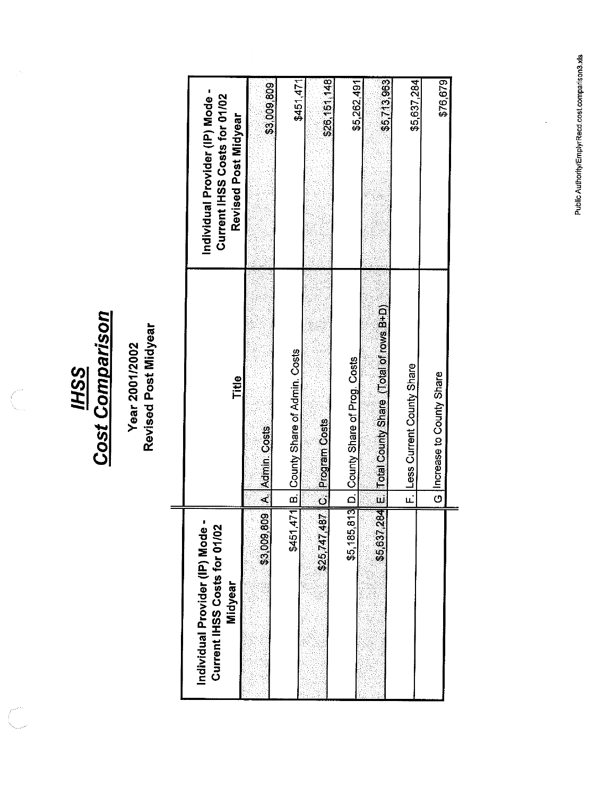**HSS**<br>Cost Comparison

 $\int_0^{\pi/2}$ 

### Year 2001/2002<br>Revised Post Midyear

| ්<br>පි<br>Current IHSS Costs for 01/02<br>Individual Provider (IP) Mor<br>Midyear | Title                                                 | Individual Provider (IP) Mode -<br>Current IHSS Costs for 01/02<br>Revised Post Midyear |
|------------------------------------------------------------------------------------|-------------------------------------------------------|-----------------------------------------------------------------------------------------|
|                                                                                    | <b>\$3,009,809 A. Admin. Costs</b>                    | \$3,009,809                                                                             |
|                                                                                    | \$451,471 B. County Share of Admin. Costs             | \$451,471                                                                               |
|                                                                                    | \$25,747,487 C. Program Costs                         | \$26,151,148                                                                            |
|                                                                                    | \$5,185,813 D. County Share of Prog. Costs            | \$5,262,491                                                                             |
|                                                                                    | \$5,637,284 E Trotal County Share (Total of rows B+D) | \$5,713,963                                                                             |
|                                                                                    | F. Less Current County Share                          | \$5,637,284                                                                             |
|                                                                                    | Increase to County Share<br>$\overline{\circ}$        | \$76,679                                                                                |
|                                                                                    |                                                       |                                                                                         |

 $\frac{1}{2}$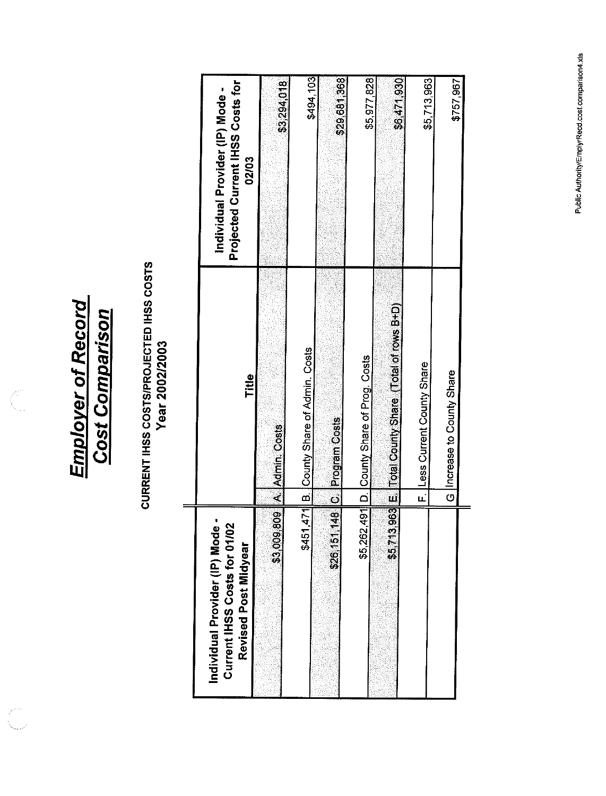**Employer of Record<br>Cost Comparison** 

Killer<br>K

## CURRENT IHSS COSTS/PROJECTED IHSS COSTS<br>Year 2002/2003

| Individual Provider (IP) Mode -<br><u>ក</u><br>Current IHSS Costs for 01/<br>Revised Post Midyear | Title                                     | Projected Current IHSS Costs for<br>Individual Provider (IP) Mode -<br>02/03 |
|---------------------------------------------------------------------------------------------------|-------------------------------------------|------------------------------------------------------------------------------|
| 809<br>\$3,009                                                                                    | A Admin Costs                             | \$3,294,018                                                                  |
|                                                                                                   | \$451,471 B. County Share of Admin. Costs | \$494,103                                                                    |
| 148 <br>\$26,157                                                                                  | C. Program Costs                          | \$29,681,368                                                                 |
| \$5,262,491                                                                                       | D. County Share of Prog. Costs            | \$5,977,828                                                                  |
| \$5,713,963                                                                                       | E. Total County Share (Total of rows B+D) | \$6,471,930                                                                  |
|                                                                                                   | Less Current County Share<br>Ē.           | \$5,713,963                                                                  |
|                                                                                                   | G  Increase to County Share               | \$757,967                                                                    |
|                                                                                                   |                                           |                                                                              |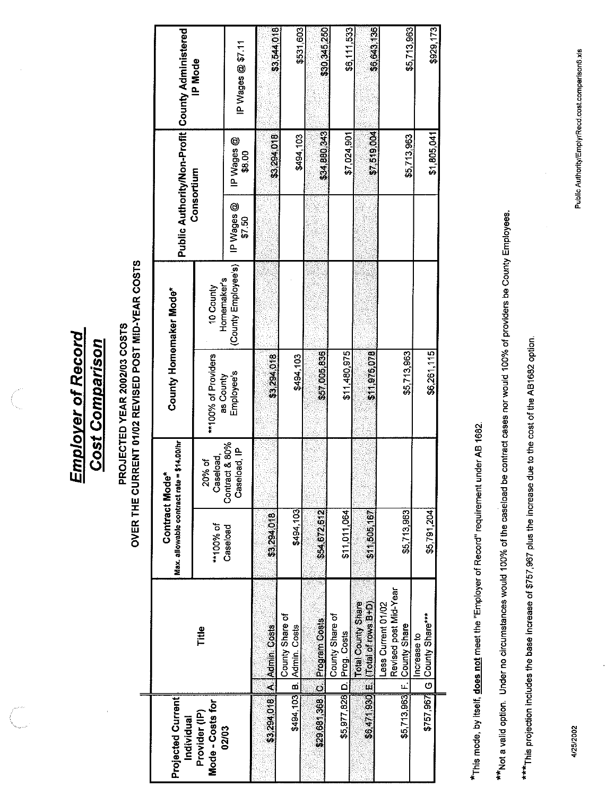**Employer of Record Cost Comparison** 

# PROJECTED YEAR 2002/03 COSTS<br>OVER THE CURRENT 01/02 REVISED POST MID-YEAR COSTS

 $\equiv$ 

| <b>Projected Current</b><br>Individual |                                                                            | Max. allowable contract rate = \$14.00/hr<br>Contract Mod | ď                                        | County Homemaker Mode*           |                          |                      |                      | Public Authority/Non-Profit   County Administered |
|----------------------------------------|----------------------------------------------------------------------------|-----------------------------------------------------------|------------------------------------------|----------------------------------|--------------------------|----------------------|----------------------|---------------------------------------------------|
| Mode - Costs for<br>Provider (IP)      | Title                                                                      | **100% of                                                 | 20% of<br>Caseload,                      | **100% of Providers<br>as County | Homemaker's<br>10 County | Consortium           |                      | IP Mode                                           |
| 02/03                                  |                                                                            | Caseload                                                  | Contract & 80%<br>Caseload <sub>IP</sub> | Employee's                       | (County Employee's)      | IP Wages @<br>\$7.50 | IP Wages @<br>\$8.00 | IP Wages @ \$7.11                                 |
| \$3,294,018                            | A. Admin. Costs                                                            | \$3,294,018                                               |                                          | \$3,294,018                      |                          |                      | \$3,294,018          | \$3,544,018                                       |
|                                        | County Share of<br>\$494,103 B. Admin. Costs                               | \$494,103                                                 |                                          | \$494,103                        |                          |                      | \$494,103            | \$531,603                                         |
|                                        | \$29,681,368 C Program Costs                                               | \$54,672,612                                              |                                          | \$57,005,836                     |                          |                      | \$34,880,343         | \$30,345,250                                      |
|                                        | County Share of<br>\$5,977,828 D. Prog. Costs                              | \$11,011,064                                              |                                          | \$11,480,975                     |                          |                      | \$7,024,901          | \$6,111,533                                       |
|                                        | Total County Share<br>\$6,471,930 Е  (Total of rows В+D)                   | \$11,505,167                                              |                                          | \$11,975,078                     |                          |                      | \$7,519,004          | \$6,643,136                                       |
|                                        | Revised post Mid-Year<br>Less Current 01/02<br>\$5,713,963 F. County Share | \$5,713,963                                               |                                          | \$5713,963                       |                          |                      | \$5,713,963          | \$5,713,963                                       |
|                                        | \$757,967 G County Share***<br>Increase to                                 | \$5,791,204                                               |                                          | \$6,261.115                      |                          |                      | \$1,805,041          | \$929,173                                         |
|                                        |                                                                            |                                                           |                                          |                                  |                          |                      |                      |                                                   |

\*This mode, by itself, **does not** meet the "Employer of Record" requirement under AB 1682.

\*\*Not a valid option. Under no circumstances would 100% of the caseload be contract cases nor would 100% of providers be County Employees.

\*\*\*This projection includes the base increase of \$757,967 plus the increase due to the cost of the AB1682 option.

4/25/2002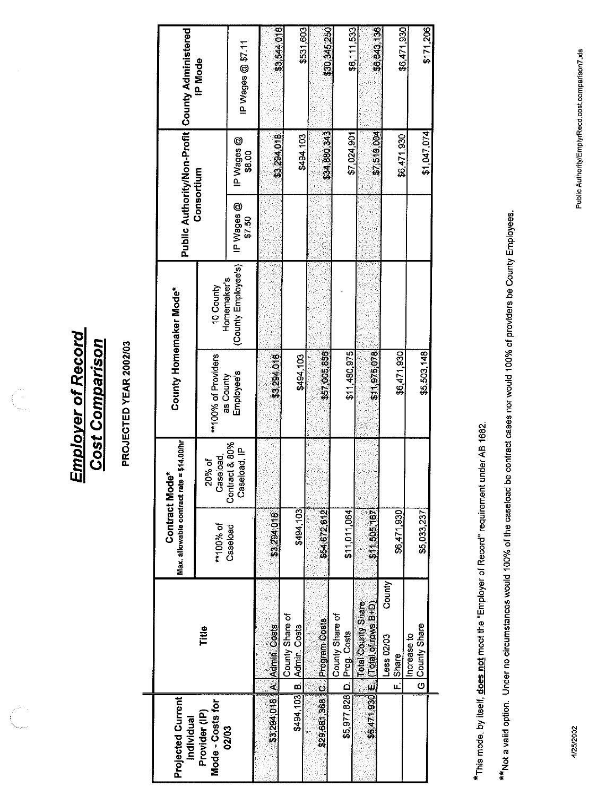**Employer of Record<br>Cost Comparison** 

 $\left(\begin{matrix} 1 \\ 1 \\ 0 \\ 0 \\ 0 \\ 0 \\ 0 \\ 0 \end{matrix}\right)$ 

### PROJECTED YEAR 2002/03

| Homemaker's<br>10 County<br>\$11480,975<br>\$57005836<br>\$11.975,078<br>**100% of Providers<br>\$3,294,018<br>\$494,103<br>Employee's<br>as County<br>Contract & 80%<br>seload, IP<br>Caseload,<br>20% of<br>င္ယီ<br>\$494,103<br>\$54,672,612<br>\$11,011,064<br>\$11,505,167<br>\$3,294,018<br>**100% of<br>Caseload<br>County<br>\$6,471,930 E. (Total County Share<br>\$6,471,930 E. (Total of rows B+D)<br>County Share of<br>County Share of<br>\$29,681,368 C Program Costs<br>\$3,294,018 A. Admin Costs<br>\$494,103 B. Admin. Costs<br>Title<br>D. Prog. Costs<br>Less 02/03<br>\$5,977,828<br>Mode - Costs for<br>Provider (IP)<br>02/03 | Projected Current<br>Individual | Max. allowable contract rate = \$14.00/hr<br>Contract Mo | ے<br>e | County Homemaker Mode* |                     |                      |                             | Public Authority/Non-Profit   County Administered |
|------------------------------------------------------------------------------------------------------------------------------------------------------------------------------------------------------------------------------------------------------------------------------------------------------------------------------------------------------------------------------------------------------------------------------------------------------------------------------------------------------------------------------------------------------------------------------------------------------------------------------------------------------|---------------------------------|----------------------------------------------------------|--------|------------------------|---------------------|----------------------|-----------------------------|---------------------------------------------------|
|                                                                                                                                                                                                                                                                                                                                                                                                                                                                                                                                                                                                                                                      |                                 |                                                          |        |                        |                     | Consortium           |                             | <b>IP Mode</b>                                    |
|                                                                                                                                                                                                                                                                                                                                                                                                                                                                                                                                                                                                                                                      |                                 |                                                          |        |                        | (County Employee's) | IP Wages @<br>\$7.50 | IP Wages @<br>\$8.00        | IP Wages @ \$7.11                                 |
|                                                                                                                                                                                                                                                                                                                                                                                                                                                                                                                                                                                                                                                      |                                 |                                                          |        |                        |                     |                      | \$3,294,018                 | \$3,544,018                                       |
|                                                                                                                                                                                                                                                                                                                                                                                                                                                                                                                                                                                                                                                      |                                 |                                                          |        |                        |                     |                      | \$494 103                   |                                                   |
|                                                                                                                                                                                                                                                                                                                                                                                                                                                                                                                                                                                                                                                      |                                 |                                                          |        |                        |                     |                      |                             | \$531,603                                         |
|                                                                                                                                                                                                                                                                                                                                                                                                                                                                                                                                                                                                                                                      |                                 |                                                          |        |                        |                     |                      | \$34,880,343<br>\$7,024,901 | \$30,345,250                                      |
|                                                                                                                                                                                                                                                                                                                                                                                                                                                                                                                                                                                                                                                      |                                 |                                                          |        |                        |                     |                      | \$7,519,004                 | \$6,111,533                                       |
| \$6,471,930<br>F Share                                                                                                                                                                                                                                                                                                                                                                                                                                                                                                                                                                                                                               |                                 | \$6,471,930                                              |        |                        |                     |                      | \$6,471,930                 | \$6,643,136<br>\$6,471,930                        |
| \$5,503,148<br>\$5,033,237<br>G County Share<br>Increase to                                                                                                                                                                                                                                                                                                                                                                                                                                                                                                                                                                                          |                                 |                                                          |        |                        |                     |                      | \$1,047,074                 | \$171,206                                         |

\*This mode, by itself, **does not** meet the "Employer of Record" requirement under AB 1682.

\*\* Not a valid option. Under no circumstances would 100% of the caseload be contract cases nor would 100% of providers be County Employees.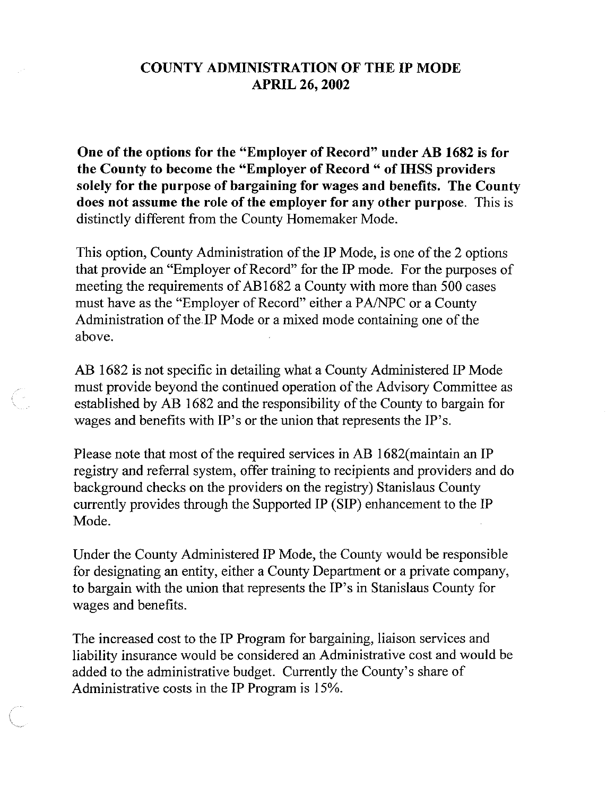### **COUNTY ADMINISTRATION OF THE IP MODE APRIL 26, 2002**

One of the options for the "Employer of Record" under AB 1682 is for the County to become the "Employer of Record " of IHSS providers solely for the purpose of bargaining for wages and benefits. The County does not assume the role of the employer for any other purpose. This is distinctly different from the County Homemaker Mode.

This option, County Administration of the IP Mode, is one of the 2 options that provide an "Employer of Record" for the IP mode. For the purposes of meeting the requirements of AB1682 a County with more than 500 cases must have as the "Employer of Record" either a PA/NPC or a County Administration of the IP Mode or a mixed mode containing one of the above.

AB 1682 is not specific in detailing what a County Administered IP Mode must provide beyond the continued operation of the Advisory Committee as established by AB 1682 and the responsibility of the County to bargain for wages and benefits with IP's or the union that represents the IP's.

Please note that most of the required services in AB 1682 (maintain an IP registry and referral system, offer training to recipients and providers and do background checks on the providers on the registry) Stanislaus County currently provides through the Supported IP (SIP) enhancement to the IP Mode.

Under the County Administered IP Mode, the County would be responsible for designating an entity, either a County Department or a private company, to bargain with the union that represents the IP's in Stanislaus County for wages and benefits.

The increased cost to the IP Program for bargaining, liaison services and liability insurance would be considered an Administrative cost and would be added to the administrative budget. Currently the County's share of Administrative costs in the IP Program is 15%.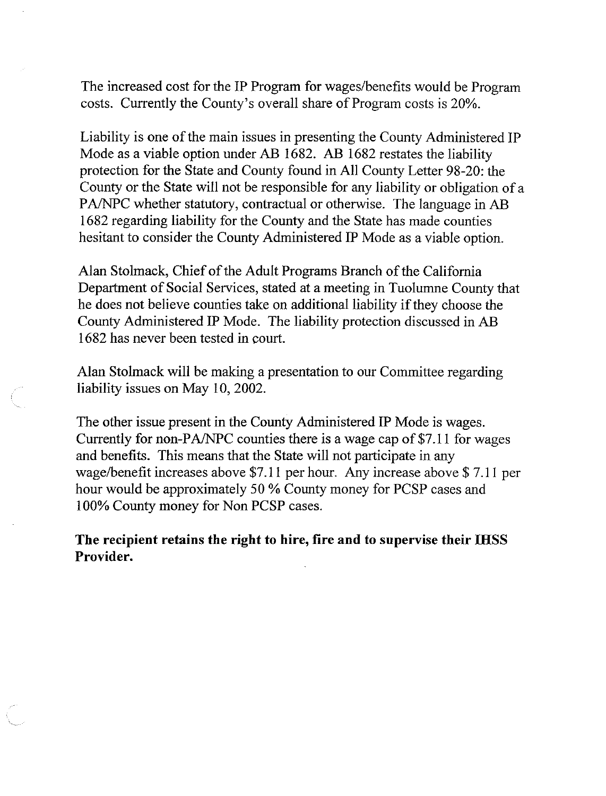The increased cost for the IP Program for wages/benefits would be Program costs. Currently the County's overall share of Program costs is 20%.

Liability is one of the main issues in presenting the County Administered IP Mode as a viable option under AB 1682. AB 1682 restates the liability protection for the State and County found in All County Letter 98-20: the County or the State will not be responsible for any liability or obligation of a PA/NPC whether statutory, contractual or otherwise. The language in AB 1682 regarding liability for the County and the State has made counties hesitant to consider the County Administered IP Mode as a viable option.

Alan Stolmack, Chief of the Adult Programs Branch of the California Department of Social Services, stated at a meeting in Tuolumne County that he does not believe counties take on additional liability if they choose the County Administered IP Mode. The liability protection discussed in AB 1682 has never been tested in court.

Alan Stolmack will be making a presentation to our Committee regarding liability issues on May 10, 2002.

The other issue present in the County Administered IP Mode is wages. Currently for non-PA/NPC counties there is a wage cap of \$7.11 for wages and benefits. This means that the State will not participate in any wage/benefit increases above \$7.11 per hour. Any increase above \$7.11 per hour would be approximately 50 % County money for PCSP cases and 100% County money for Non PCSP cases.

The recipient retains the right to hire, fire and to supervise their IHSS Provider.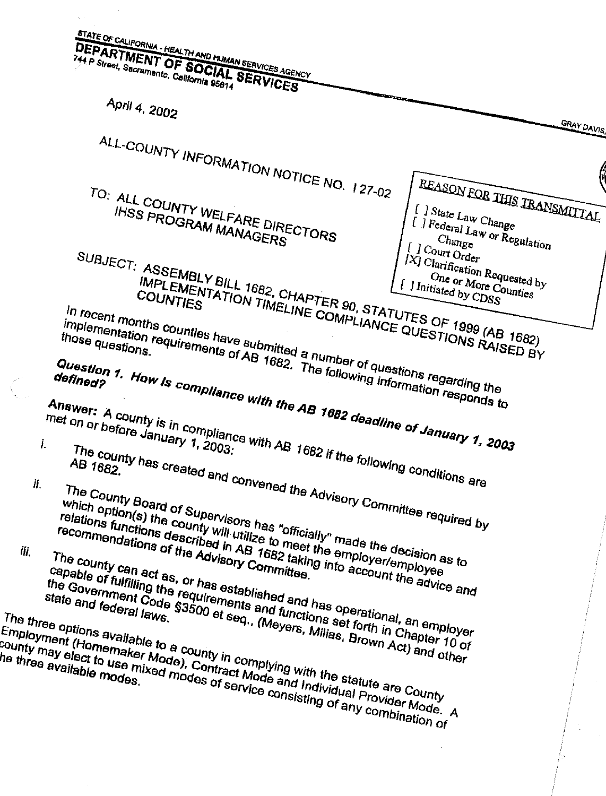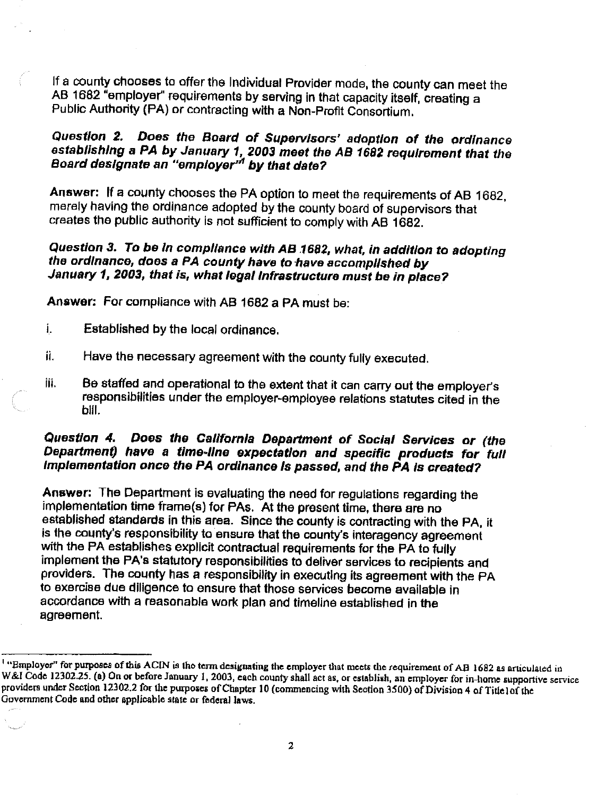If a county chooses to offer the Individual Provider mode, the county can meet the AB 1682 "employer" requirements by serving in that capacity itself, creating a Public Authority (PA) or contracting with a Non-Profit Consortium.

### Question 2. Does the Board of Supervisors' adoption of the ordinance establishing a PA by January 1, 2003 meet the AB 1682 requirement that the Board designate an "employer" by that date?

Answer: If a county chooses the PA option to meet the requirements of AB 1682, merely having the ordinance adopted by the county board of supervisors that creates the public authority is not sufficient to comply with AB 1682.

### Question 3. To be in compliance with AB 1682, what, in addition to adopting the ordinance, does a PA county have to have accomplished by January 1, 2003, that is, what legal infrastructure must be in place?

Answer: For compliance with AB 1682 a PA must be:

- Established by the local ordinance.  $\mathbf{i}$ .
- ii. Have the necessary agreement with the county fully executed.
- iii. Be staffed and operational to the extent that it can carry out the employer's responsibilities under the employer-employee relations statutes cited in the bill.

### Question 4. Does the California Department of Social Services or (the Department) have a time-line expectation and specific products for full Implementation once the PA ordinance is passed, and the PA is created?

Answer: The Department is evaluating the need for regulations regarding the implementation time frame(s) for PAs. At the present time, there are no established standards in this area. Since the county is contracting with the PA, it is the county's responsibility to ensure that the county's interagency agreement with the PA establishes explicit contractual requirements for the PA to fully implement the PA's statutory responsibilities to deliver services to recipients and providers. The county has a responsibility in executing its agreement with the PA to exercise due diligence to ensure that those services become available in accordance with a reasonable work plan and timeline established in the agreement.

<sup>&</sup>lt;sup>1</sup> "Employer" for purposes of this ACIN is the term designating the employer that meets the requirement of AB 1682 as articulated in W&I Code 12302.25. (a) On or before January 1, 2003, each county shall act as, or establish, an employer for in-home supportive service providers under Section 12302.2 for the purposes of Chapter 10 (commencing with Section 3500) of Division 4 of Title1of the Government Code and other applicable state or federal laws.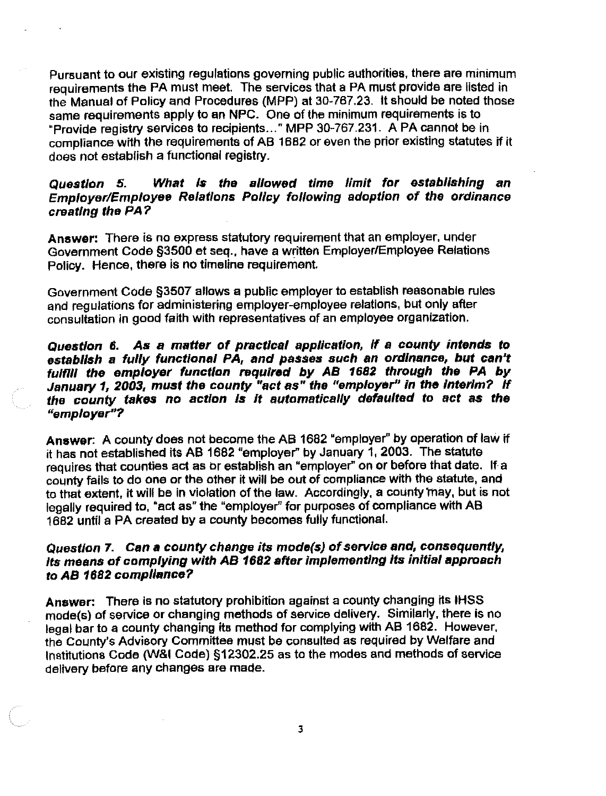Pursuant to our existing regulations governing public authorities, there are minimum requirements the PA must meet. The services that a PA must provide are listed in the Manual of Policy and Procedures (MPP) at 30-767.23. It should be noted those same requirements apply to an NPC. One of the minimum requirements is to "Provide registry services to recipients..." MPP 30-767.231. A PA cannot be in compliance with the requirements of AB 1682 or even the prior existing statutes if it does not establish a functional registry.

### What is the allowed time limit for establishing an Question 5. Employer/Employee Relations Policy following adoption of the ordinance creating the PA?

Answer: There is no express statutory requirement that an employer, under Government Code §3500 et seg., have a written Employer/Employee Relations Policy. Hence, there is no timeline requirement.

Government Code §3507 allows a public employer to establish reasonable rules and regulations for administering employer-employee relations, but only after consultation in good faith with representatives of an employee organization.

Question 6. As a matter of practical application, if a county intends to establish a fully functional PA, and passes such an ordinance, but can't fulfill the employer function required by AB 1682 through the PA by January 1, 2003, must the county "act as" the "employer" in the interim? If<br>the county takes no action is it automatically defaulted to act as the "emplover"?

Answer: A county does not become the AB 1682 "employer" by operation of law if it has not established its AB 1682 "employer" by January 1, 2003. The statute requires that counties act as or establish an "employer" on or before that date. If a county fails to do one or the other it will be out of compliance with the statute, and to that extent, it will be in violation of the law. Accordingly, a county may, but is not legally required to, "act as" the "employer" for purposes of compliance with AB 1682 until a PA created by a county becomes fully functional.

### Question 7. Can a county change its mode(s) of service and, consequently, Its means of complying with AB 1682 after implementing its initial approach to AB 1682 compliance?

Answer: There is no statutory prohibition against a county changing its IHSS mode(s) of service or changing methods of service delivery. Similarly, there is no legal bar to a county changing its method for complying with AB 1682. However, the County's Advisory Committee must be consulted as required by Welfare and Institutions Code (W&I Code) §12302.25 as to the modes and methods of service delivery before any changes are made.